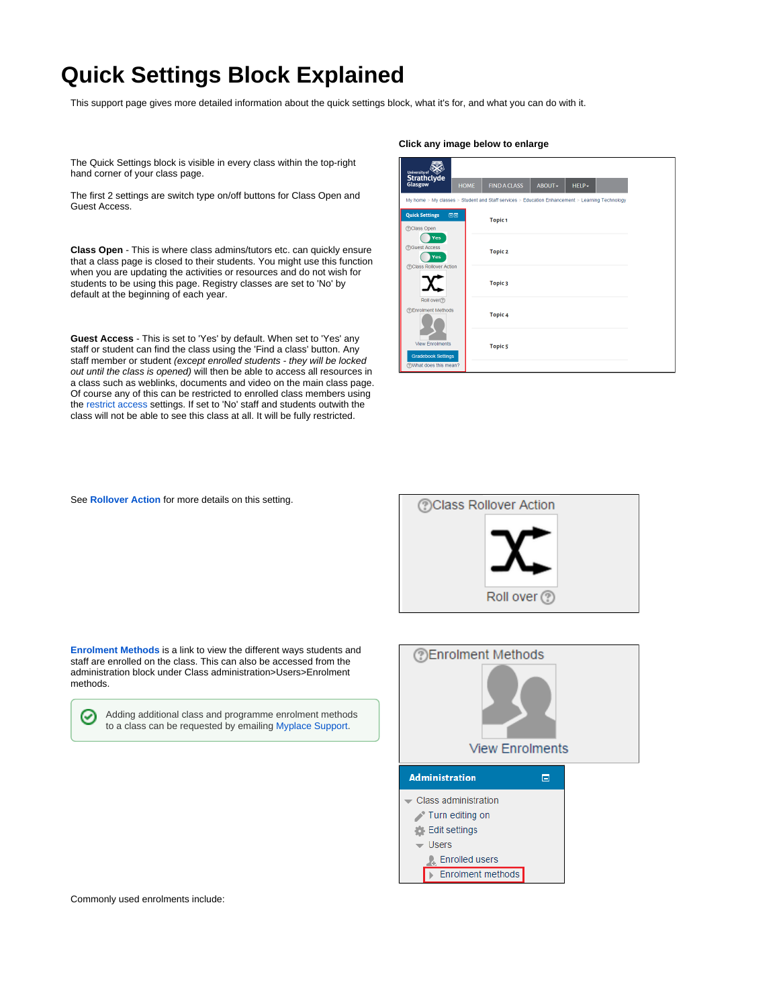## **Quick Settings Block Explained**

This support page gives more detailed information about the quick settings block, what it's for, and what you can do with it.

The Quick Settings block is visible in every class within the top-right hand corner of your class page.

The first 2 settings are switch type on/off buttons for Class Open and Guest Access.

**Class Open** - This is where class admins/tutors etc. can quickly ensure that a class page is closed to their students. You might use this function when you are updating the activities or resources and do not wish for students to be using this page. Registry classes are set to 'No' by default at the beginning of each year.

**Guest Access** - This is set to 'Yes' by default. When set to 'Yes' any staff or student can find the class using the 'Find a class' button. Any staff member or student (except enrolled students - they will be locked out until the class is opened) will then be able to access all resources in a class such as weblinks, documents and video on the main class page. Of course any of this can be restricted to enrolled class members using the [restrict access](https://docs.moodle.org/28/en/Conditional_activities_settings) settings. If set to 'No' staff and students outwith the class will not be able to see this class at all. It will be fully restricted.

## **Click any image below to enlarge**

| <b>Strathclyde</b><br>Glasgow<br><b>HOME</b><br><b>FIND A CLASS</b><br>ABOUT -<br>HELP-<br>My home > My classes > Student and Staff services > Education Enhancement > Learning Technology<br><b>Quick Settings</b><br>日回<br><b>Topic1</b><br><b>@Class Open</b><br>Yes<br><b>?Guest Access</b><br><b>Topic 2</b><br>Yes<br>@Class Rollover Action<br>Topic 3<br>Roll over<br><b>@Enrolment Methods</b><br>Topic <sub>4</sub><br><b>View Enrolments</b><br><b>Topic 5</b><br><b>Gradebook Settings</b><br><b>TWhat does this mean?</b> | University of |  |  |  |
|----------------------------------------------------------------------------------------------------------------------------------------------------------------------------------------------------------------------------------------------------------------------------------------------------------------------------------------------------------------------------------------------------------------------------------------------------------------------------------------------------------------------------------------|---------------|--|--|--|
|                                                                                                                                                                                                                                                                                                                                                                                                                                                                                                                                        |               |  |  |  |
|                                                                                                                                                                                                                                                                                                                                                                                                                                                                                                                                        |               |  |  |  |
|                                                                                                                                                                                                                                                                                                                                                                                                                                                                                                                                        |               |  |  |  |
|                                                                                                                                                                                                                                                                                                                                                                                                                                                                                                                                        |               |  |  |  |
|                                                                                                                                                                                                                                                                                                                                                                                                                                                                                                                                        |               |  |  |  |
|                                                                                                                                                                                                                                                                                                                                                                                                                                                                                                                                        |               |  |  |  |
|                                                                                                                                                                                                                                                                                                                                                                                                                                                                                                                                        |               |  |  |  |
|                                                                                                                                                                                                                                                                                                                                                                                                                                                                                                                                        |               |  |  |  |

See **[Rollover Action](http://support.myplace.strath.ac.uk/display/MS/Class+Rollover+Action)** for more details on this setting.



**[Enrolment Methods](https://docs.moodle.org/28/en/Enrolment_methods)** is a link to view the different ways students and staff are enrolled on the class. This can also be accessed from the administration block under Class administration>Users>Enrolment methods.

| ⊗ | Adding additional class and programme enrolment methods  |
|---|----------------------------------------------------------|
|   | to a class can be requested by emailing Myplace Support. |



Commonly used enrolments include: